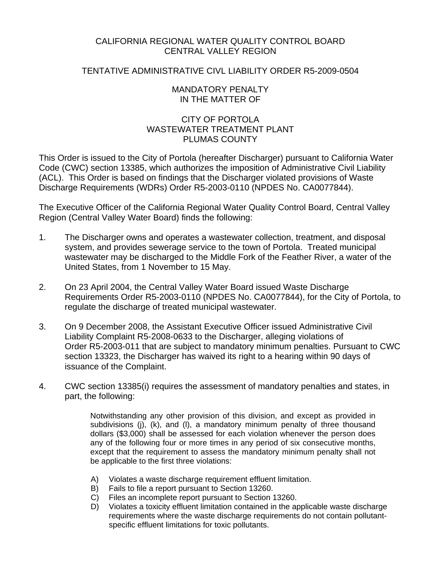## CALIFORNIA REGIONAL WATER QUALITY CONTROL BOARD CENTRAL VALLEY REGION

## TENTATIVE ADMINISTRATIVE CIVL LIABILITY ORDER R5-2009-0504

#### MANDATORY PENALTY IN THE MATTER OF

# CITY OF PORTOLA WASTEWATER TREATMENT PLANT PLUMAS COUNTY

This Order is issued to the City of Portola (hereafter Discharger) pursuant to California Water Code (CWC) section 13385, which authorizes the imposition of Administrative Civil Liability (ACL). This Order is based on findings that the Discharger violated provisions of Waste Discharge Requirements (WDRs) Order R5-2003-0110 (NPDES No. CA0077844).

The Executive Officer of the California Regional Water Quality Control Board, Central Valley Region (Central Valley Water Board) finds the following:

- 1. The Discharger owns and operates a wastewater collection, treatment, and disposal system, and provides sewerage service to the town of Portola. Treated municipal wastewater may be discharged to the Middle Fork of the Feather River, a water of the United States, from 1 November to 15 May.
- 2. On 23 April 2004, the Central Valley Water Board issued Waste Discharge Requirements Order R5-2003-0110 (NPDES No. CA0077844), for the City of Portola, to regulate the discharge of treated municipal wastewater.
- 3. On 9 December 2008, the Assistant Executive Officer issued Administrative Civil Liability Complaint R5-2008-0633 to the Discharger, alleging violations of Order R5-2003-011 that are subject to mandatory minimum penalties. Pursuant to CWC section 13323, the Discharger has waived its right to a hearing within 90 days of issuance of the Complaint.
- 4. CWC section 13385(i) requires the assessment of mandatory penalties and states, in part, the following:

Notwithstanding any other provision of this division, and except as provided in subdivisions (j), (k), and (l), a mandatory minimum penalty of three thousand dollars (\$3,000) shall be assessed for each violation whenever the person does any of the following four or more times in any period of six consecutive months, except that the requirement to assess the mandatory minimum penalty shall not be applicable to the first three violations:

- A) Violates a waste discharge requirement effluent limitation.
- B) Fails to file a report pursuant to Section 13260.
- C) Files an incomplete report pursuant to Section 13260.
- D) Violates a toxicity effluent limitation contained in the applicable waste discharge requirements where the waste discharge requirements do not contain pollutantspecific effluent limitations for toxic pollutants.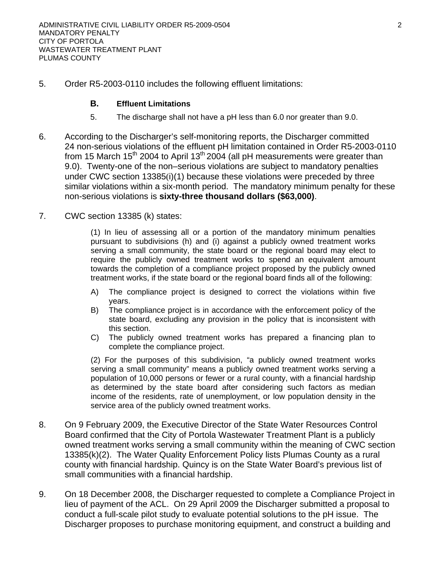5. Order R5-2003-0110 includes the following effluent limitations:

### **B. Effluent Limitations**

- 5. The discharge shall not have a pH less than 6.0 nor greater than 9.0.
- 6. According to the Discharger's self-monitoring reports, the Discharger committed 24 non-serious violations of the effluent pH limitation contained in Order R5-2003-0110 from 15 March 15<sup>th</sup> 2004 to April 13<sup>th</sup> 2004 (all pH measurements were greater than 9.0). Twenty-one of the non–serious violations are subject to mandatory penalties under CWC section 13385(i)(1) because these violations were preceded by three similar violations within a six-month period. The mandatory minimum penalty for these non-serious violations is **sixty-three thousand dollars (\$63,000)**.
- 7. CWC section 13385 (k) states:

(1) In lieu of assessing all or a portion of the mandatory minimum penalties pursuant to subdivisions (h) and (i) against a publicly owned treatment works serving a small community, the state board or the regional board may elect to require the publicly owned treatment works to spend an equivalent amount towards the completion of a compliance project proposed by the publicly owned treatment works, if the state board or the regional board finds all of the following:

- A) The compliance project is designed to correct the violations within five years.
- B) The compliance project is in accordance with the enforcement policy of the state board, excluding any provision in the policy that is inconsistent with this section.
- C) The publicly owned treatment works has prepared a financing plan to complete the compliance project.

(2) For the purposes of this subdivision, "a publicly owned treatment works serving a small community" means a publicly owned treatment works serving a population of 10,000 persons or fewer or a rural county, with a financial hardship as determined by the state board after considering such factors as median income of the residents, rate of unemployment, or low population density in the service area of the publicly owned treatment works.

- 8. On 9 February 2009, the Executive Director of the State Water Resources Control Board confirmed that the City of Portola Wastewater Treatment Plant is a publicly owned treatment works serving a small community within the meaning of CWC section 13385(k)(2). The Water Quality Enforcement Policy lists Plumas County as a rural county with financial hardship. Quincy is on the State Water Board's previous list of small communities with a financial hardship.
- 9. On 18 December 2008, the Discharger requested to complete a Compliance Project in lieu of payment of the ACL. On 29 April 2009 the Discharger submitted a proposal to conduct a full-scale pilot study to evaluate potential solutions to the pH issue. The Discharger proposes to purchase monitoring equipment, and construct a building and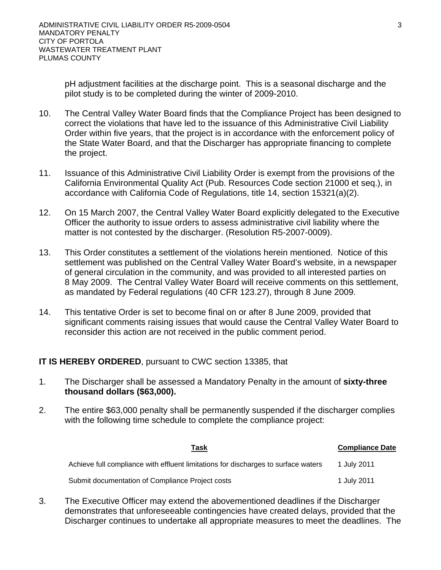pH adjustment facilities at the discharge point. This is a seasonal discharge and the pilot study is to be completed during the winter of 2009-2010.

- 10. The Central Valley Water Board finds that the Compliance Project has been designed to correct the violations that have led to the issuance of this Administrative Civil Liability Order within five years, that the project is in accordance with the enforcement policy of the State Water Board, and that the Discharger has appropriate financing to complete the project.
- 11. Issuance of this Administrative Civil Liability Order is exempt from the provisions of the California Environmental Quality Act (Pub. Resources Code section 21000 et seq.), in accordance with California Code of Regulations, title 14, section 15321(a)(2).
- 12. On 15 March 2007, the Central Valley Water Board explicitly delegated to the Executive Officer the authority to issue orders to assess administrative civil liability where the matter is not contested by the discharger. (Resolution R5-2007-0009).
- 13. This Order constitutes a settlement of the violations herein mentioned. Notice of this settlement was published on the Central Valley Water Board's website, in a newspaper of general circulation in the community, and was provided to all interested parties on 8 May 2009. The Central Valley Water Board will receive comments on this settlement, as mandated by Federal regulations (40 CFR 123.27), through 8 June 2009.
- 14. This tentative Order is set to become final on or after 8 June 2009, provided that significant comments raising issues that would cause the Central Valley Water Board to reconsider this action are not received in the public comment period.

# **IT IS HEREBY ORDERED**, pursuant to CWC section 13385, that

- 1. The Discharger shall be assessed a Mandatory Penalty in the amount of **sixty-three thousand dollars (\$63,000).**
- 2. The entire \$63,000 penalty shall be permanently suspended if the discharger complies with the following time schedule to complete the compliance project:

| Task                                                                               | <b>Compliance Date</b> |
|------------------------------------------------------------------------------------|------------------------|
| Achieve full compliance with effluent limitations for discharges to surface waters | 1 July 2011            |
| Submit documentation of Compliance Project costs                                   | 1 July 2011            |

3. The Executive Officer may extend the abovementioned deadlines if the Discharger demonstrates that unforeseeable contingencies have created delays, provided that the Discharger continues to undertake all appropriate measures to meet the deadlines. The